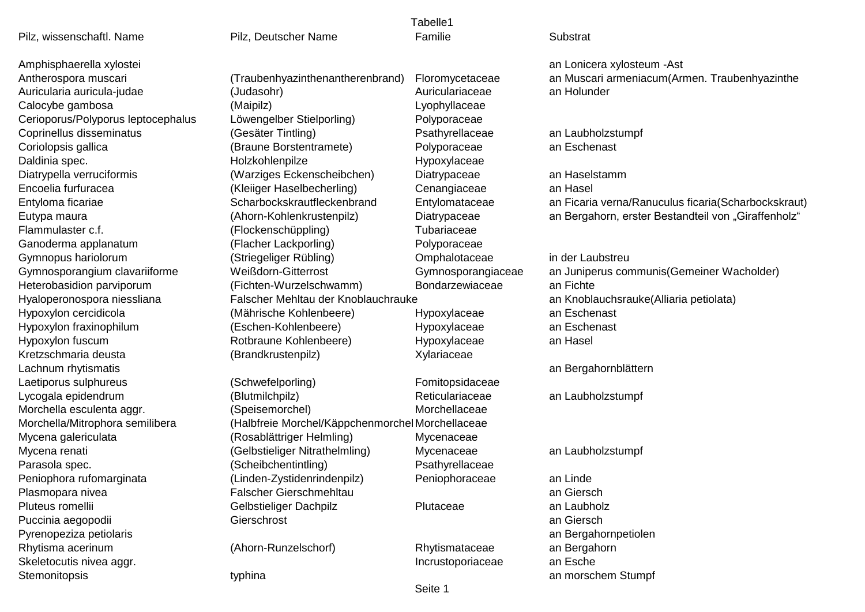| Tabelle1                           |                                                  |                    |                                                     |
|------------------------------------|--------------------------------------------------|--------------------|-----------------------------------------------------|
| Pilz, wissenschaftl. Name          | Pilz, Deutscher Name                             | Familie            | Substrat                                            |
| Amphisphaerella xylostei           |                                                  |                    | an Lonicera xylosteum - Ast                         |
| Antherospora muscari               | (Traubenhyazinthenantherenbrand)                 | Floromycetaceae    | an Muscari armeniacum(Armen. Traubenhyazinthe       |
| Auricularia auricula-judae         | (Judasohr)                                       | Auriculariaceae    | an Holunder                                         |
| Calocybe gambosa                   | (Maipilz)                                        | Lyophyllaceae      |                                                     |
| Cerioporus/Polyporus leptocephalus | Löwengelber Stielporling)                        | Polyporaceae       |                                                     |
| Coprinellus disseminatus           | (Gesäter Tintling)                               | Psathyrellaceae    | an Laubholzstumpf                                   |
| Coriolopsis gallica                | (Braune Borstentramete)                          | Polyporaceae       | an Eschenast                                        |
| Daldinia spec.                     | Holzkohlenpilze                                  | Hypoxylaceae       |                                                     |
| Diatrypella verruciformis          | (Warziges Eckenscheibchen)                       | Diatrypaceae       | an Haselstamm                                       |
| Encoelia furfuracea                | (Kleiiger Haselbecherling)                       | Cenangiaceae       | an Hasel                                            |
| Entyloma ficariae                  | Scharbockskrautfleckenbrand                      | Entylomataceae     | an Ficaria verna/Ranuculus ficaria(Scharbockskraut) |
| Eutypa maura                       | (Ahorn-Kohlenkrustenpilz)                        | Diatrypaceae       | an Bergahorn, erster Bestandteil von "Giraffenholz" |
| Flammulaster c.f.                  | (Flockenschüppling)                              | Tubariaceae        |                                                     |
| Ganoderma applanatum               | (Flacher Lackporling)                            | Polyporaceae       |                                                     |
| Gymnopus hariolorum                | (Striegeliger Rübling)                           | Omphalotaceae      | in der Laubstreu                                    |
| Gymnosporangium clavariiforme      | Weißdorn-Gitterrost                              | Gymnosporangiaceae | an Juniperus communis (Gemeiner Wacholder)          |
| Heterobasidion parviporum          | (Fichten-Wurzelschwamm)                          | Bondarzewiaceae    | an Fichte                                           |
| Hyaloperonospora niessliana        | Falscher Mehltau der Knoblauchrauke              |                    | an Knoblauchsrauke(Alliaria petiolata)              |
| Hypoxylon cercidicola              | (Mährische Kohlenbeere)                          | Hypoxylaceae       | an Eschenast                                        |
| Hypoxylon fraxinophilum            | (Eschen-Kohlenbeere)                             | Hypoxylaceae       | an Eschenast                                        |
| Hypoxylon fuscum                   | Rotbraune Kohlenbeere)                           | Hypoxylaceae       | an Hasel                                            |
| Kretzschmaria deusta               | (Brandkrustenpilz)                               | Xylariaceae        |                                                     |
| Lachnum rhytismatis                |                                                  |                    | an Bergahornblättern                                |
| Laetiporus sulphureus              | (Schwefelporling)                                | Fomitopsidaceae    |                                                     |
| Lycogala epidendrum                | (Blutmilchpilz)                                  | Reticulariaceae    | an Laubholzstumpf                                   |
| Morchella esculenta aggr.          | (Speisemorchel)                                  | Morchellaceae      |                                                     |
| Morchella/Mitrophora semilibera    | (Halbfreie Morchel/Käppchenmorchel Morchellaceae |                    |                                                     |
| Mycena galericulata                | (Rosablättriger Helmling)                        | Mycenaceae         |                                                     |
| Mycena renati                      | (Gelbstieliger Nitrathelmling)                   | Mycenaceae         | an Laubholzstumpf                                   |
| Parasola spec.                     | (Scheibchentintling)                             | Psathyrellaceae    |                                                     |
| Peniophora rufomarginata           | (Linden-Zystidenrindenpilz)                      | Peniophoraceae     | an Linde                                            |
| Plasmopara nivea                   | <b>Falscher Gierschmehltau</b>                   |                    | an Giersch                                          |
| Pluteus romellii                   | Gelbstieliger Dachpilz                           | Plutaceae          | an Laubholz                                         |
| Puccinia aegopodii                 | Gierschrost                                      |                    | an Giersch                                          |
| Pyrenopeziza petiolaris            |                                                  |                    | an Bergahornpetiolen                                |
| Rhytisma acerinum                  | (Ahorn-Runzelschorf)                             | Rhytismataceae     | an Bergahorn                                        |
| Skeletocutis nivea aggr.           |                                                  | Incrustoporiaceae  | an Esche                                            |
| Stemonitopsis                      | typhina                                          |                    | an morschem Stumpf                                  |
|                                    |                                                  | Seite 1            |                                                     |